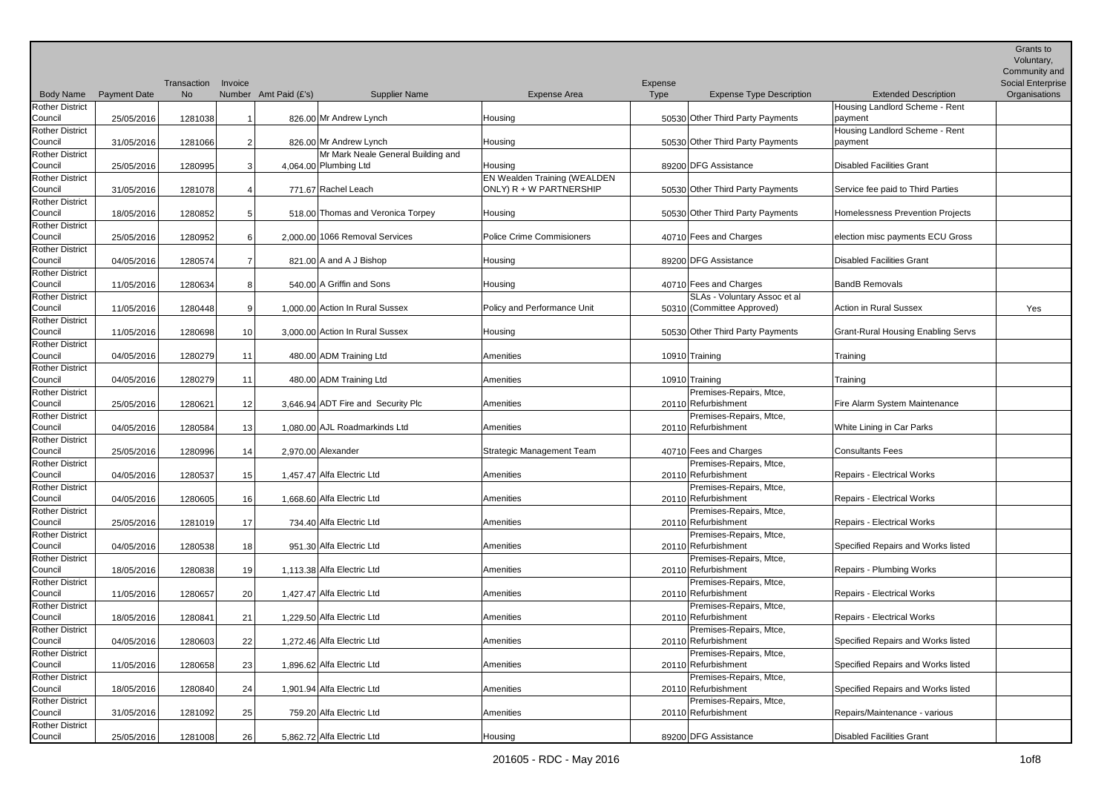|                                   |                     | Transaction | Invoice         |                       |                                    |                                     | Expense |                                                |                                           | Grants to<br>Voluntary,<br>Community and<br><b>Social Enterprise</b> |
|-----------------------------------|---------------------|-------------|-----------------|-----------------------|------------------------------------|-------------------------------------|---------|------------------------------------------------|-------------------------------------------|----------------------------------------------------------------------|
| <b>Body Name</b>                  | <b>Payment Date</b> | <b>No</b>   |                 | Number Amt Paid (£'s) | <b>Supplier Name</b>               | Expense Area                        | Type    | <b>Expense Type Description</b>                | <b>Extended Description</b>               | Organisations                                                        |
| <b>Rother District</b><br>Council | 25/05/2016          | 1281038     |                 |                       | 826.00 Mr Andrew Lynch             | Housing                             |         | 50530 Other Third Party Payments               | Housing Landlord Scheme - Rent<br>payment |                                                                      |
| <b>Rother District</b>            |                     |             |                 |                       |                                    |                                     |         |                                                | Housing Landlord Scheme - Rent            |                                                                      |
| Council                           | 31/05/2016          | 1281066     | 2               |                       | 826.00 Mr Andrew Lynch             | Housing                             |         | 50530 Other Third Party Payments               | payment                                   |                                                                      |
| <b>Rother District</b>            |                     |             |                 |                       | Mr Mark Neale General Building and |                                     |         |                                                |                                           |                                                                      |
| Council                           | 25/05/2016          | 1280995     |                 |                       | 4,064.00 Plumbing Ltd              | Housing                             |         | 89200 DFG Assistance                           | Disabled Facilities Grant                 |                                                                      |
| <b>Rother District</b>            |                     |             |                 |                       |                                    | <b>EN Wealden Training (WEALDEN</b> |         |                                                |                                           |                                                                      |
| Council                           | 31/05/2016          | 1281078     |                 |                       | 771.67 Rachel Leach                | ONLY) R + W PARTNERSHIP             |         | 50530 Other Third Party Payments               | Service fee paid to Third Parties         |                                                                      |
| <b>Rother District</b><br>Council | 18/05/2016          | 1280852     |                 |                       | 518.00 Thomas and Veronica Torpey  | Housing                             |         | 50530 Other Third Party Payments               | Homelessness Prevention Projects          |                                                                      |
| <b>Rother District</b>            |                     |             |                 |                       |                                    |                                     |         |                                                |                                           |                                                                      |
| Council                           | 25/05/2016          | 1280952     | 6               |                       | 2.000.00 1066 Removal Services     | <b>Police Crime Commisioners</b>    |         | 40710 Fees and Charges                         | election misc payments ECU Gross          |                                                                      |
| Rother District<br>Council        |                     |             |                 |                       | 821.00 A and A J Bishop            |                                     |         | 89200 DFG Assistance                           | Disabled Facilities Grant                 |                                                                      |
| <b>Rother District</b>            | 04/05/2016          | 1280574     |                 |                       |                                    | Housing                             |         |                                                |                                           |                                                                      |
| Council                           | 11/05/2016          | 1280634     | 8               |                       | 540.00 A Griffin and Sons          | Housing                             |         | 40710 Fees and Charges                         | <b>BandB Removals</b>                     |                                                                      |
| <b>Rother District</b>            |                     |             |                 |                       |                                    |                                     |         | SLAs - Voluntary Assoc et al                   |                                           |                                                                      |
| Council                           | 11/05/2016          | 1280448     |                 |                       | 1,000.00 Action In Rural Sussex    | Policy and Performance Unit         |         | 50310 (Committee Approved)                     | <b>Action in Rural Sussex</b>             | Yes                                                                  |
| <b>Rother District</b>            |                     |             |                 |                       |                                    |                                     |         |                                                |                                           |                                                                      |
| Council                           | 11/05/2016          | 1280698     | 10 <sup>1</sup> |                       | 3.000.00 Action In Rural Sussex    | Housing                             |         | 50530 Other Third Party Payments               | <b>Grant-Rural Housing Enabling Servs</b> |                                                                      |
| <b>Rother District</b>            |                     |             |                 |                       |                                    |                                     |         |                                                |                                           |                                                                      |
| Council                           | 04/05/2016          | 1280279     | 11              |                       | 480.00 ADM Training Ltd            | Amenities                           |         | 10910 Training                                 | Training                                  |                                                                      |
| <b>Rother District</b>            |                     |             |                 |                       |                                    |                                     |         |                                                |                                           |                                                                      |
| Council<br>Rother District        | 04/05/2016          | 1280279     | 11              |                       | 480.00 ADM Training Ltd            | Amenities                           |         | 10910 Training<br>Premises-Repairs, Mtce,      | Training                                  |                                                                      |
| Council                           | 25/05/2016          | 1280621     | 12              |                       | 3,646.94 ADT Fire and Security Plc | Amenities                           |         | 20110 Refurbishment                            | Fire Alarm System Maintenance             |                                                                      |
| <b>Rother District</b>            |                     |             |                 |                       |                                    |                                     |         | Premises-Repairs, Mtce,                        |                                           |                                                                      |
| Council                           | 04/05/2016          | 1280584     | 13              |                       | 1,080.00 AJL Roadmarkinds Ltd      | Amenities                           |         | 20110 Refurbishment                            | White Lining in Car Parks                 |                                                                      |
| <b>Rother District</b>            |                     |             |                 |                       |                                    |                                     |         |                                                |                                           |                                                                      |
| Council                           | 25/05/2016          | 1280996     | 14              |                       | 2,970.00 Alexander                 | Strategic Management Team           |         | 40710 Fees and Charges                         | <b>Consultants Fees</b>                   |                                                                      |
| <b>Rother District</b>            |                     |             |                 |                       |                                    |                                     |         | Premises-Repairs, Mtce,                        |                                           |                                                                      |
| Council                           | 04/05/2016          | 1280537     | 15              |                       | 1,457.47 Alfa Electric Ltd         | Amenities                           |         | 20110 Refurbishment                            | <b>Repairs - Electrical Works</b>         |                                                                      |
| <b>Rother District</b><br>Council | 04/05/2016          | 1280605     | 16              |                       | 1,668.60 Alfa Electric Ltd         | Amenities                           |         | Premises-Repairs, Mtce,<br>20110 Refurbishment | Repairs - Electrical Works                |                                                                      |
| <b>Rother District</b>            |                     |             |                 |                       |                                    |                                     |         | Premises-Repairs, Mtce,                        |                                           |                                                                      |
| Council                           | 25/05/2016          | 1281019     | 17              |                       | 734.40 Alfa Electric Ltd           | Amenities                           |         | 20110 Refurbishment                            | Repairs - Electrical Works                |                                                                      |
| <b>Rother District</b>            |                     |             |                 |                       |                                    |                                     |         | Premises-Repairs, Mtce,                        |                                           |                                                                      |
| Council                           | 04/05/2016          | 1280538     | 18              |                       | 951.30 Alfa Electric Ltd           | Amenities                           |         | 20110 Refurbishment                            | Specified Repairs and Works listed        |                                                                      |
| <b>Rother District</b>            |                     |             |                 |                       |                                    |                                     |         | Premises-Repairs, Mtce,                        |                                           |                                                                      |
| Council                           | 18/05/2016          | 1280838     | 19              |                       | 1,113.38 Alfa Electric Ltd         | Amenities                           |         | 20110 Refurbishment                            | Repairs - Plumbing Works                  |                                                                      |
| <b>Rother District</b>            |                     |             |                 |                       |                                    |                                     |         | Premises-Repairs, Mtce,                        |                                           |                                                                      |
| Council                           | 11/05/2016          | 1280657     | 20              |                       | 1,427.47 Alfa Electric Ltd         | Amenities                           |         | 20110 Refurbishment<br>Premises-Repairs, Mtce, | Repairs - Electrical Works                |                                                                      |
| <b>Rother District</b><br>Council | 18/05/2016          | 1280841     | 21              |                       | 1,229.50 Alfa Electric Ltd         | Amenities                           |         | 20110 Refurbishment                            | Repairs - Electrical Works                |                                                                      |
| Rother District                   |                     |             |                 |                       |                                    |                                     |         | Premises-Repairs, Mtce,                        |                                           |                                                                      |
| Council                           | 04/05/2016          | 1280603     | 22              |                       | 1,272.46 Alfa Electric Ltd         | Amenities                           |         | 20110 Refurbishment                            | Specified Repairs and Works listed        |                                                                      |
| <b>Rother District</b>            |                     |             |                 |                       |                                    |                                     |         | Premises-Repairs, Mtce,                        |                                           |                                                                      |
| Council                           | 11/05/2016          | 1280658     | 23              |                       | 1,896.62 Alfa Electric Ltd         | Amenities                           |         | 20110 Refurbishment                            | Specified Repairs and Works listed        |                                                                      |
| <b>Rother District</b>            |                     |             |                 |                       |                                    |                                     |         | Premises-Repairs, Mtce,                        |                                           |                                                                      |
| Council                           | 18/05/2016          | 1280840     | 24              |                       | 1,901.94 Alfa Electric Ltd         | Amenities                           |         | 20110 Refurbishment                            | Specified Repairs and Works listed        |                                                                      |
| <b>Rother District</b><br>Council |                     |             |                 |                       | 759.20 Alfa Electric Ltd           | Amenities                           |         | Premises-Repairs, Mtce,<br>20110 Refurbishment | Repairs/Maintenance - various             |                                                                      |
| <b>Rother District</b>            | 31/05/2016          | 1281092     | 25              |                       |                                    |                                     |         |                                                |                                           |                                                                      |
| Council                           | 25/05/2016          | 1281008     | 26              |                       | 5,862.72 Alfa Electric Ltd         | Housing                             |         | 89200 DFG Assistance                           | Disabled Facilities Grant                 |                                                                      |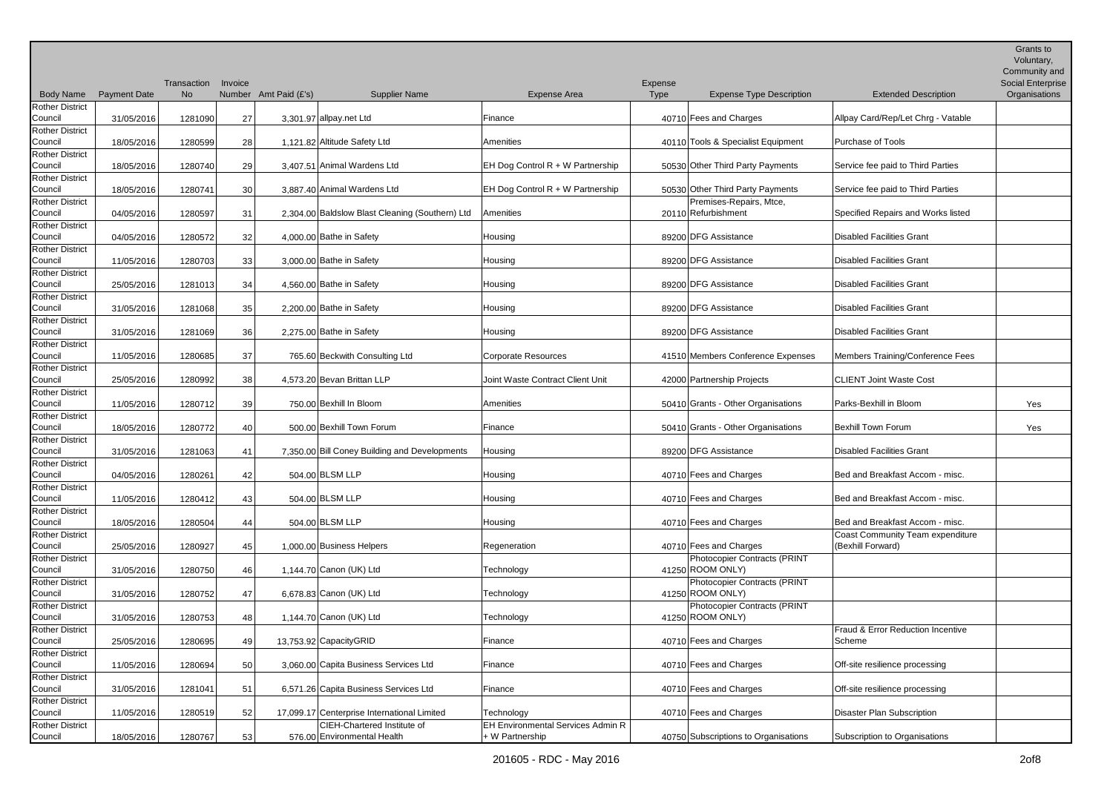|                                   |                     |                          |         |                                                            |                      |                                                             |                 |                                                             |                                                       | Grants to<br>Voluntary,<br>Community and |
|-----------------------------------|---------------------|--------------------------|---------|------------------------------------------------------------|----------------------|-------------------------------------------------------------|-----------------|-------------------------------------------------------------|-------------------------------------------------------|------------------------------------------|
| <b>Body Name</b>                  | <b>Payment Date</b> | Transaction<br><b>No</b> | Invoice | Number Amt Paid (£'s)                                      | <b>Supplier Name</b> | <b>Expense Area</b>                                         | Expense<br>Type | <b>Expense Type Description</b>                             | <b>Extended Description</b>                           | Social Enterprise<br>Organisations       |
| <b>Rother District</b>            |                     |                          |         |                                                            |                      |                                                             |                 |                                                             |                                                       |                                          |
| Council                           | 31/05/2016          | 1281090                  | 27      | 3,301.97 allpay.net Ltd                                    |                      | Finance                                                     |                 | 40710 Fees and Charges                                      | Allpay Card/Rep/Let Chrg - Vatable                    |                                          |
| <b>Rother District</b><br>Council | 18/05/2016          | 1280599                  | 28      | 1,121.82 Altitude Safety Ltd                               |                      | Amenities                                                   |                 | 40110 Tools & Specialist Equipment                          | Purchase of Tools                                     |                                          |
| <b>Rother District</b><br>Council | 18/05/2016          | 1280740                  |         | 3,407.51 Animal Wardens Ltd                                |                      | EH Dog Control R + W Partnership                            |                 | 50530 Other Third Party Payments                            | Service fee paid to Third Parties                     |                                          |
| Rother District                   |                     |                          | 29      |                                                            |                      |                                                             |                 |                                                             |                                                       |                                          |
| Council<br><b>Rother District</b> | 18/05/2016          | 1280741                  | 30      | 3,887.40 Animal Wardens Ltd                                |                      | EH Dog Control R + W Partnership                            |                 | 50530 Other Third Party Payments<br>Premises-Repairs, Mtce, | Service fee paid to Third Parties                     |                                          |
| Council                           | 04/05/2016          | 1280597                  | 31      | 2.304.00 Baldslow Blast Cleaning (Southern) Ltd            |                      | Amenities                                                   |                 | 20110 Refurbishment                                         | Specified Repairs and Works listed                    |                                          |
| <b>Rother District</b><br>Council | 04/05/2016          | 1280572                  | 32      | 4,000.00 Bathe in Safety                                   |                      | Housing                                                     |                 | 89200 DFG Assistance                                        | Disabled Facilities Grant                             |                                          |
| <b>Rother District</b>            |                     |                          |         |                                                            |                      |                                                             |                 |                                                             |                                                       |                                          |
| Council<br><b>Rother District</b> | 11/05/2016          | 1280703                  | 33      | 3,000.00 Bathe in Safety                                   |                      | Housing                                                     |                 | 89200 DFG Assistance                                        | <b>Disabled Facilities Grant</b>                      |                                          |
| Council                           | 25/05/2016          | 1281013                  | 34      | 4,560.00 Bathe in Safety                                   |                      | Housing                                                     |                 | 89200 DFG Assistance                                        | Disabled Facilities Grant                             |                                          |
| <b>Rother District</b>            |                     |                          |         |                                                            |                      |                                                             |                 |                                                             |                                                       |                                          |
| Council                           | 31/05/2016          | 1281068                  | 35      | 2,200.00 Bathe in Safety                                   |                      | Housing                                                     |                 | 89200 DFG Assistance                                        | Disabled Facilities Grant                             |                                          |
| <b>Rother District</b><br>Council | 31/05/2016          | 1281069                  | 36      | 2,275.00 Bathe in Safety                                   |                      | Housing                                                     |                 | 89200 DFG Assistance                                        | Disabled Facilities Grant                             |                                          |
| <b>Rother District</b>            |                     |                          |         |                                                            |                      |                                                             |                 |                                                             |                                                       |                                          |
| Council                           | 11/05/2016          | 1280685                  | 37      | 765.60 Beckwith Consulting Ltd                             |                      | <b>Corporate Resources</b>                                  |                 | 41510 Members Conference Expenses                           | Members Training/Conference Fees                      |                                          |
| <b>Rother District</b><br>Council | 25/05/2016          | 1280992                  | 38      | 4,573.20 Bevan Brittan LLP                                 |                      | Joint Waste Contract Client Unit                            |                 | 42000 Partnership Projects                                  | <b>CLIENT Joint Waste Cost</b>                        |                                          |
| <b>Rother District</b><br>Council | 11/05/2016          | 1280712                  | 39      | 750.00 Bexhill In Bloom                                    |                      | Amenities                                                   |                 | 50410 Grants - Other Organisations                          | Parks-Bexhill in Bloom                                | Yes                                      |
| <b>Rother District</b>            |                     |                          |         |                                                            |                      |                                                             |                 |                                                             |                                                       |                                          |
| Council                           | 18/05/2016          | 1280772                  | 40      | 500.00 Bexhill Town Forum                                  |                      | Finance                                                     |                 | 50410 Grants - Other Organisations                          | Bexhill Town Forum                                    | Yes                                      |
| <b>Rother District</b><br>Council | 31/05/2016          | 1281063                  | 41      | 7,350.00 Bill Coney Building and Developments              |                      | Housing                                                     |                 | 89200 DFG Assistance                                        | <b>Disabled Facilities Grant</b>                      |                                          |
| <b>Rother District</b><br>Council | 04/05/2016          | 1280261                  | 42      | 504.00 BLSM LLP                                            |                      | Housing                                                     |                 | 40710 Fees and Charges                                      | Bed and Breakfast Accom - misc.                       |                                          |
| <b>Rother District</b>            |                     |                          |         |                                                            |                      |                                                             |                 |                                                             |                                                       |                                          |
| Council<br><b>Rother District</b> | 11/05/2016          | 1280412                  | 43      | 504.00 BLSM LLP                                            |                      | Housing                                                     |                 | 40710 Fees and Charges                                      | Bed and Breakfast Accom - misc.                       |                                          |
| Council                           | 18/05/2016          | 1280504                  | 44      | 504.00 BLSM LLP                                            |                      | Housing                                                     |                 | 40710 Fees and Charges                                      | Bed and Breakfast Accom - misc.                       |                                          |
| <b>Rother District</b>            |                     |                          |         | 1,000.00 Business Helpers                                  |                      | Regeneration                                                |                 | 40710 Fees and Charges                                      | Coast Community Team expenditure<br>(Bexhill Forward) |                                          |
| Council<br><b>Rother District</b> | 25/05/2016          | 1280927                  | 45      |                                                            |                      |                                                             |                 | Photocopier Contracts (PRINT                                |                                                       |                                          |
| Council                           | 31/05/2016          | 1280750                  | 46      | 1,144.70 Canon (UK) Ltd                                    |                      | Technology                                                  |                 | 41250 ROOM ONLY)                                            |                                                       |                                          |
| <b>Rother District</b><br>Council | 31/05/2016          | 1280752                  | 47      | 6,678.83 Canon (UK) Ltd                                    |                      | Technology                                                  |                 | Photocopier Contracts (PRINT<br>41250 ROOM ONLY)            |                                                       |                                          |
| <b>Rother District</b>            |                     |                          |         |                                                            |                      |                                                             |                 | Photocopier Contracts (PRINT                                |                                                       |                                          |
| Council                           | 31/05/2016          | 1280753                  | 48      | 1,144.70 Canon (UK) Ltd                                    |                      | Technology                                                  |                 | 41250 ROOM ONLY)                                            |                                                       |                                          |
| <b>Rother District</b><br>Council | 25/05/2016          | 1280695                  | 49      | 13,753.92 CapacityGRID                                     |                      | Finance                                                     |                 | 40710 Fees and Charges                                      | Fraud & Error Reduction Incentive<br>Scheme           |                                          |
| <b>Rother District</b>            |                     |                          |         |                                                            |                      |                                                             |                 |                                                             |                                                       |                                          |
| Council                           | 11/05/2016          | 1280694                  | 50      | 3,060.00 Capita Business Services Ltd                      |                      | Finance                                                     |                 | 40710 Fees and Charges                                      | Off-site resilience processing                        |                                          |
| <b>Rother District</b><br>Council | 31/05/2016          | 1281041                  | 51      | 6,571.26 Capita Business Services Ltd                      |                      | Finance                                                     |                 | 40710 Fees and Charges                                      | Off-site resilience processing                        |                                          |
| <b>Rother District</b>            |                     |                          |         |                                                            |                      |                                                             |                 |                                                             |                                                       |                                          |
| Council                           | 11/05/2016          | 1280519                  | 52      | 17.099.17 Centerprise International Limited                |                      | Technology                                                  |                 | 40710 Fees and Charges                                      | Disaster Plan Subscription                            |                                          |
| <b>Rother District</b><br>Council | 18/05/2016          | 1280767                  | 53      | CIEH-Chartered Institute of<br>576.00 Environmental Health |                      | <b>EH Environmental Services Admin R</b><br>+ W Partnership |                 | 40750 Subscriptions to Organisations                        | Subscription to Organisations                         |                                          |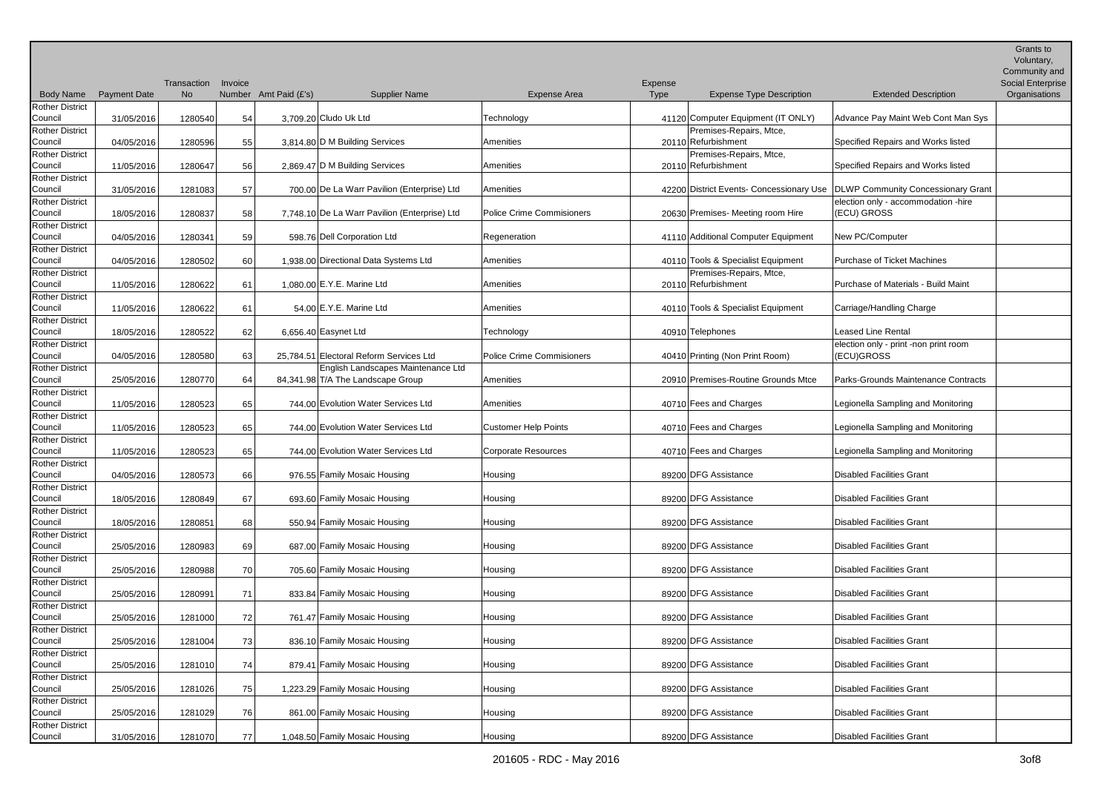|                                   |                     |                          |         |                       |                                               |                                  |                 |                                                |                                                                               | Grants to<br>Voluntary,<br>Community and |
|-----------------------------------|---------------------|--------------------------|---------|-----------------------|-----------------------------------------------|----------------------------------|-----------------|------------------------------------------------|-------------------------------------------------------------------------------|------------------------------------------|
| <b>Body Name</b>                  | <b>Payment Date</b> | Transaction<br><b>No</b> | Invoice | Number Amt Paid (£'s) | <b>Supplier Name</b>                          | Expense Area                     | Expense<br>Type | <b>Expense Type Description</b>                | <b>Extended Description</b>                                                   | Social Enterprise<br>Organisations       |
| <b>Rother District</b>            |                     |                          |         |                       |                                               |                                  |                 |                                                |                                                                               |                                          |
| Council                           | 31/05/2016          | 1280540                  | 54      |                       | 3,709.20 Cludo Uk Ltd                         | Technology                       |                 | 41120 Computer Equipment (IT ONLY)             | Advance Pay Maint Web Cont Man Sys                                            |                                          |
| <b>Rother District</b>            |                     |                          |         |                       |                                               |                                  |                 | Premises-Repairs, Mtce,                        |                                                                               |                                          |
| Council<br><b>Rother District</b> | 04/05/2016          | 1280596                  | 55      |                       | 3,814.80 D M Building Services                | Amenities                        |                 | 20110 Refurbishment<br>Premises-Repairs, Mtce, | Specified Repairs and Works listed                                            |                                          |
| Council                           | 11/05/2016          | 1280647                  | 56      |                       | 2,869.47 D M Building Services                | Amenities                        |                 | 20110 Refurbishment                            | Specified Repairs and Works listed                                            |                                          |
| <b>Rother District</b>            |                     |                          |         |                       |                                               |                                  |                 |                                                |                                                                               |                                          |
| Council                           | 31/05/2016          | 1281083                  | 57      |                       | 700.00 De La Warr Pavilion (Enterprise) Ltd   | Amenities                        |                 |                                                | 42200 District Events- Concessionary Use   DLWP Community Concessionary Grant |                                          |
| <b>Rother District</b>            |                     |                          |         |                       |                                               |                                  |                 |                                                | election only - accommodation -hire                                           |                                          |
| Council                           | 18/05/2016          | 1280837                  | 58      |                       | 7.748.10 De La Warr Pavilion (Enterprise) Ltd | <b>Police Crime Commisioners</b> |                 | 20630 Premises- Meeting room Hire              | (ECU) GROSS                                                                   |                                          |
| <b>Rother District</b><br>Council | 04/05/2016          | 1280341                  | 59      |                       | 598.76 Dell Corporation Ltd                   | Regeneration                     |                 | 41110 Additional Computer Equipment            | New PC/Computer                                                               |                                          |
| <b>Rother District</b>            |                     |                          |         |                       |                                               |                                  |                 |                                                |                                                                               |                                          |
| Council                           | 04/05/2016          | 1280502                  | 60      |                       | 1.938.00 Directional Data Systems Ltd         | Amenities                        |                 | 40110 Tools & Specialist Equipment             | <b>Purchase of Ticket Machines</b>                                            |                                          |
| <b>Rother District</b>            |                     |                          |         |                       |                                               |                                  |                 | Premises-Repairs, Mtce,                        |                                                                               |                                          |
| Council                           | 11/05/2016          | 1280622                  | 61      |                       | 1.080.00 $E.Y.E.$ Marine Ltd                  | Amenities                        |                 | 20110 Refurbishment                            | Purchase of Materials - Build Maint                                           |                                          |
| <b>Rother District</b><br>Council | 11/05/2016          | 1280622                  | 61      |                       | 54.00 $E.Y.E.$ Marine Ltd                     | Amenities                        |                 | 40110 Tools & Specialist Equipment             | Carriage/Handling Charge                                                      |                                          |
| <b>Rother District</b>            |                     |                          |         |                       |                                               |                                  |                 |                                                |                                                                               |                                          |
| Council                           | 18/05/2016          | 1280522                  | 62      |                       | 6.656.40 Easynet Ltd                          | Technology                       |                 | 40910 Telephones                               | Leased Line Rental                                                            |                                          |
| <b>Rother District</b>            |                     |                          |         |                       |                                               |                                  |                 |                                                | election only - print -non print room                                         |                                          |
| Council                           | 04/05/2016          | 1280580                  | 63      |                       | 25.784.51 Electoral Reform Services Ltd       | <b>Police Crime Commisioners</b> |                 | 40410 Printing (Non Print Room)                | (ECU)GROSS                                                                    |                                          |
| <b>Rother District</b>            |                     |                          |         |                       | English Landscapes Maintenance Ltd            |                                  |                 |                                                |                                                                               |                                          |
| Council<br><b>Rother District</b> | 25/05/2016          | 1280770                  | 64      |                       | 84,341.98 T/A The Landscape Group             | Amenities                        |                 | 20910 Premises-Routine Grounds Mtce            | Parks-Grounds Maintenance Contracts                                           |                                          |
| Council                           | 11/05/2016          | 1280523                  | 65      |                       | 744.00 Evolution Water Services Ltd           | Amenities                        |                 | 40710 Fees and Charges                         | Legionella Sampling and Monitoring                                            |                                          |
| <b>Rother District</b>            |                     |                          |         |                       |                                               |                                  |                 |                                                |                                                                               |                                          |
| Council                           | 11/05/2016          | 1280523                  | 65      |                       | 744.00 Evolution Water Services Ltd           | <b>Customer Help Points</b>      |                 | 40710 Fees and Charges                         | Legionella Sampling and Monitoring                                            |                                          |
| <b>Rother District</b>            |                     |                          |         |                       |                                               |                                  |                 |                                                |                                                                               |                                          |
| Council<br><b>Rother District</b> | 11/05/2016          | 1280523                  | 65      |                       | 744.00 Evolution Water Services Ltd           | <b>Corporate Resources</b>       |                 | 40710 Fees and Charges                         | Legionella Sampling and Monitoring                                            |                                          |
| Council                           | 04/05/2016          | 1280573                  | 66      |                       | 976.55 Family Mosaic Housing                  | Housing                          |                 | 89200 DFG Assistance                           | Disabled Facilities Grant                                                     |                                          |
| <b>Rother District</b>            |                     |                          |         |                       |                                               |                                  |                 |                                                |                                                                               |                                          |
| Council                           | 18/05/2016          | 1280849                  | 67      |                       | 693.60 Family Mosaic Housing                  | Housing                          |                 | 89200 DFG Assistance                           | Disabled Facilities Grant                                                     |                                          |
| <b>Rother District</b>            |                     |                          |         |                       |                                               |                                  |                 |                                                |                                                                               |                                          |
| Council<br><b>Rother District</b> | 18/05/2016          | 1280851                  | 68      |                       | 550.94 Family Mosaic Housing                  | Housing                          |                 | 89200 DFG Assistance                           | Disabled Facilities Grant                                                     |                                          |
| Council                           | 25/05/2016          | 1280983                  | 69      |                       | 687.00 Family Mosaic Housing                  | Housing                          |                 | 89200 DFG Assistance                           | Disabled Facilities Grant                                                     |                                          |
| <b>Rother District</b>            |                     |                          |         |                       |                                               |                                  |                 |                                                |                                                                               |                                          |
| Council                           | 25/05/2016          | 1280988                  | 70      |                       | 705.60 Family Mosaic Housing                  | Housing                          |                 | 89200 DFG Assistance                           | Disabled Facilities Grant                                                     |                                          |
| <b>Rother District</b>            |                     |                          |         |                       |                                               |                                  |                 |                                                |                                                                               |                                          |
| Council                           | 25/05/2016          | 1280991                  | 71      |                       | 833.84 Family Mosaic Housing                  | Housing                          |                 | 89200 DFG Assistance                           | Disabled Facilities Grant                                                     |                                          |
| <b>Rother District</b><br>Council | 25/05/2016          | 1281000                  | 72      |                       | 761.47 Family Mosaic Housing                  | Housing                          |                 | 89200 DFG Assistance                           | Disabled Facilities Grant                                                     |                                          |
| <b>Rother District</b>            |                     |                          |         |                       |                                               |                                  |                 |                                                |                                                                               |                                          |
| Council                           | 25/05/2016          | 1281004                  | 73      |                       | 836.10 Family Mosaic Housing                  | Housing                          |                 | 89200 DFG Assistance                           | Disabled Facilities Grant                                                     |                                          |
| <b>Rother District</b>            |                     |                          |         |                       |                                               |                                  |                 |                                                |                                                                               |                                          |
| Council                           | 25/05/2016          | 1281010                  | 74      |                       | 879.41 Family Mosaic Housing                  | Housing                          |                 | 89200 DFG Assistance                           | Disabled Facilities Grant                                                     |                                          |
| <b>Rother District</b><br>Council | 25/05/2016          | 1281026                  | 75      |                       | 1,223.29 Family Mosaic Housing                | Housing                          |                 | 89200 DFG Assistance                           | Disabled Facilities Grant                                                     |                                          |
| <b>Rother District</b>            |                     |                          |         |                       |                                               |                                  |                 |                                                |                                                                               |                                          |
| Council                           | 25/05/2016          | 1281029                  | 76      |                       | 861.00 Family Mosaic Housing                  | Housing                          |                 | 89200 DFG Assistance                           | Disabled Facilities Grant                                                     |                                          |
| <b>Rother District</b>            |                     |                          |         |                       |                                               |                                  |                 |                                                |                                                                               |                                          |
| Council                           | 31/05/2016          | 1281070                  | 77      |                       | 1,048.50 Family Mosaic Housing                | Housing                          |                 | 89200 DFG Assistance                           | Disabled Facilities Grant                                                     |                                          |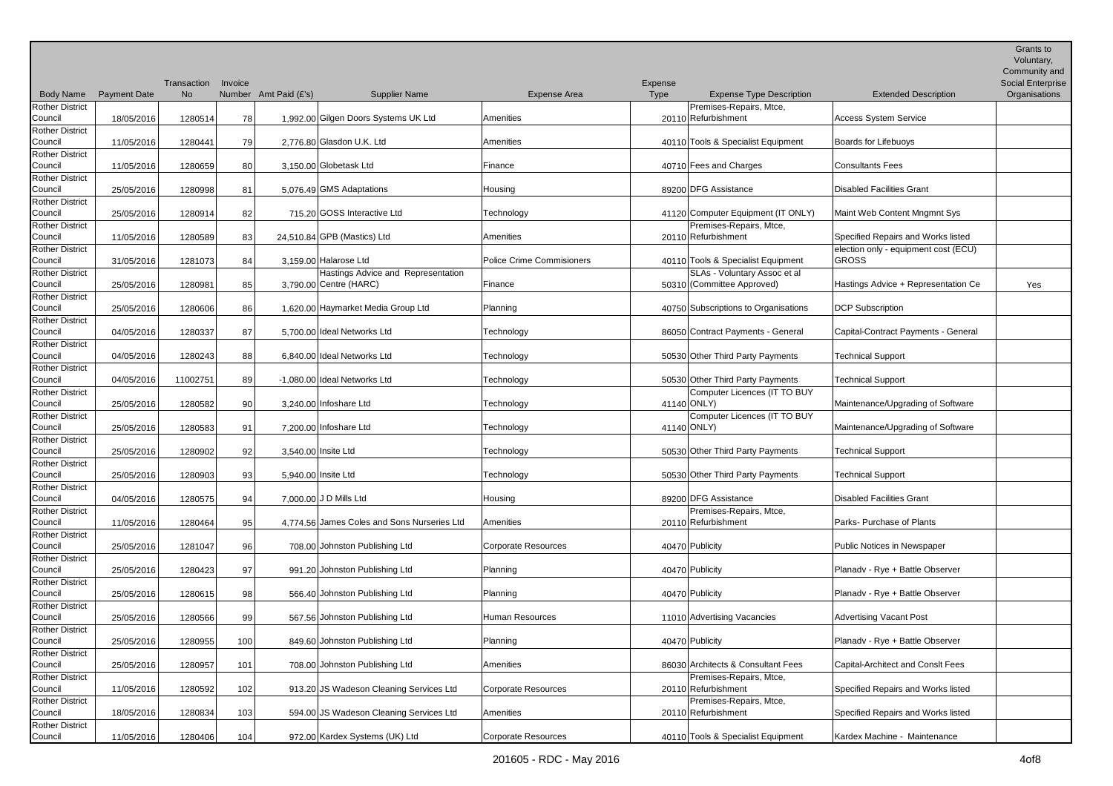|                                   |                     | Transaction | Invoice |                       |                                             |                           | Expense     |                                                |                                                      | Grants to<br>Voluntary,<br>Community and<br>Social Enterprise |
|-----------------------------------|---------------------|-------------|---------|-----------------------|---------------------------------------------|---------------------------|-------------|------------------------------------------------|------------------------------------------------------|---------------------------------------------------------------|
| <b>Body Name</b>                  | <b>Payment Date</b> | <b>No</b>   |         | Number Amt Paid (£'s) | <b>Supplier Name</b>                        | Expense Area              | <b>Type</b> | <b>Expense Type Description</b>                | <b>Extended Description</b>                          | Organisations                                                 |
| <b>Rother District</b><br>Council | 18/05/2016          | 1280514     | 78      |                       | 1,992.00 Gilgen Doors Systems UK Ltd        | Amenities                 |             | Premises-Repairs, Mtce,<br>20110 Refurbishment | <b>Access System Service</b>                         |                                                               |
| <b>Rother District</b><br>Council | 11/05/2016          | 1280441     | 79      |                       | 2,776.80 Glasdon U.K. Ltd                   | Amenities                 |             | 40110 Tools & Specialist Equipment             | Boards for Lifebuoys                                 |                                                               |
| <b>Rother District</b><br>Council | 11/05/2016          | 1280659     | 80      |                       | 3,150.00 Globetask Ltd                      | Finance                   |             | 40710 Fees and Charges                         | <b>Consultants Fees</b>                              |                                                               |
| Rother District<br>Council        | 25/05/2016          | 1280998     | 81      |                       | 5,076.49 GMS Adaptations                    | Housing                   |             | 89200 DFG Assistance                           | <b>Disabled Facilities Grant</b>                     |                                                               |
| <b>Rother District</b><br>Council | 25/05/2016          | 1280914     | 82      |                       | 715.20 GOSS Interactive Ltd                 | Technology                |             | 41120 Computer Equipment (IT ONLY)             | Maint Web Content Mngmnt Sys                         |                                                               |
| <b>Rother District</b><br>Council | 11/05/2016          | 1280589     | 83      |                       | 24,510.84 GPB (Mastics) Ltd                 | Amenities                 |             | Premises-Repairs, Mtce,<br>20110 Refurbishment | Specified Repairs and Works listed                   |                                                               |
| <b>Rother District</b><br>Council | 31/05/2016          | 1281073     | 84      |                       | 3,159.00 Halarose Ltd                       | Police Crime Commisioners |             | 40110 Tools & Specialist Equipment             | election only - equipment cost (ECU)<br><b>GROSS</b> |                                                               |
| <b>Rother District</b>            |                     |             |         |                       | Hastings Advice and Representation          |                           |             | SLAs - Voluntary Assoc et al                   |                                                      |                                                               |
| Council<br><b>Rother District</b> | 25/05/2016          | 1280981     | 85      |                       | 3,790.00 Centre (HARC)                      | Finance                   |             | 50310 (Committee Approved)                     | Hastings Advice + Representation Ce                  | Yes                                                           |
| Council<br><b>Rother District</b> | 25/05/2016          | 1280606     | 86      |                       | 1,620.00 Haymarket Media Group Ltd          | Planning                  |             | 40750 Subscriptions to Organisations           | <b>DCP Subscription</b>                              |                                                               |
| Council                           | 04/05/2016          | 1280337     | 87      |                       | 5.700.00 Ideal Networks Ltd                 | Technology                |             | 86050 Contract Payments - General              | Capital-Contract Payments - General                  |                                                               |
| <b>Rother District</b><br>Council | 04/05/2016          | 1280243     | 88      |                       | 6,840.00 Ideal Networks Ltd                 | Technology                |             | 50530 Other Third Party Payments               | <b>Technical Support</b>                             |                                                               |
| <b>Rother District</b><br>Council | 04/05/2016          | 11002751    | 89      |                       | -1,080.00 Ideal Networks Ltd                | Technology                |             | 50530 Other Third Party Payments               | <b>Technical Support</b>                             |                                                               |
| <b>Rother District</b><br>Council | 25/05/2016          | 1280582     | 90      |                       | 3.240.00 Infoshare Ltd                      | Technology                |             | Computer Licences (IT TO BUY<br>41140 ONLY)    | Maintenance/Upgrading of Software                    |                                                               |
| <b>Rother District</b><br>Council | 25/05/2016          | 1280583     | 91      |                       | 7,200.00 Infoshare Ltd                      | Technology                |             | Computer Licences (IT TO BUY<br>41140 ONLY)    | Maintenance/Upgrading of Software                    |                                                               |
| <b>Rother District</b><br>Council | 25/05/2016          | 1280902     | 92      |                       | 3,540.00 Insite Ltd                         | Technology                |             | 50530 Other Third Party Payments               | <b>Technical Support</b>                             |                                                               |
| <b>Rother District</b><br>Council | 25/05/2016          | 1280903     | 93      |                       | 5,940.00 Insite Ltd                         | Technology                |             | 50530 Other Third Party Payments               | <b>Technical Support</b>                             |                                                               |
| <b>Rother District</b><br>Council | 04/05/2016          | 1280575     | 94      |                       | 7,000.00 J D Mills Ltd                      | Housing                   |             | 89200 DFG Assistance                           | <b>Disabled Facilities Grant</b>                     |                                                               |
| <b>Rother District</b><br>Council | 11/05/2016          | 1280464     | 95      |                       | 4,774.56 James Coles and Sons Nurseries Ltd | Amenities                 |             | Premises-Repairs, Mtce,<br>20110 Refurbishment | Parks- Purchase of Plants                            |                                                               |
| <b>Rother District</b><br>Council | 25/05/2016          | 1281047     | 96      |                       | 708.00 Johnston Publishing Ltd              | Corporate Resources       |             | 40470 Publicity                                | Public Notices in Newspaper                          |                                                               |
| <b>Rother District</b>            |                     |             |         |                       |                                             |                           |             |                                                |                                                      |                                                               |
| Council<br><b>Rother District</b> | 25/05/2016          | 1280423     | 97      |                       | 991.20 Johnston Publishing Ltd              | Planning                  |             | 40470 Publicity                                | Planadv - Rye + Battle Observer                      |                                                               |
| Council<br><b>Rother District</b> | 25/05/2016          | 1280615     | 98      |                       | 566.40 Johnston Publishing Ltd              | Planning                  |             | 40470 Publicity                                | Planadv - Rye + Battle Observer                      |                                                               |
| Council                           | 25/05/2016          | 1280566     | 99      |                       | 567.56 Johnston Publishing Ltd              | Human Resources           |             | 11010 Advertising Vacancies                    | <b>Advertising Vacant Post</b>                       |                                                               |
| <b>Rother District</b><br>Council | 25/05/2016          | 1280955     | 100     |                       | 849.60 Johnston Publishing Ltd              | Planning                  |             | 40470 Publicity                                | Planadv - Rye + Battle Observer                      |                                                               |
| <b>Rother District</b><br>Council | 25/05/2016          | 1280957     | 101     |                       | 708.00 Johnston Publishing Ltd              | Amenities                 |             | 86030 Architects & Consultant Fees             | Capital-Architect and Conslt Fees                    |                                                               |
| <b>Rother District</b><br>Council | 11/05/2016          | 1280592     | 102     |                       | 913.20 JS Wadeson Cleaning Services Ltd     | Corporate Resources       |             | Premises-Repairs, Mtce,<br>20110 Refurbishment | Specified Repairs and Works listed                   |                                                               |
| <b>Rother District</b><br>Council | 18/05/2016          | 1280834     | 103     |                       | 594.00 JS Wadeson Cleaning Services Ltd     | Amenities                 |             | Premises-Repairs, Mtce,<br>20110 Refurbishment | Specified Repairs and Works listed                   |                                                               |
| <b>Rother District</b><br>Council | 11/05/2016          | 1280406     | 104     |                       | 972.00 Kardex Systems (UK) Ltd              | Corporate Resources       |             | 40110 Tools & Specialist Equipment             | Kardex Machine - Maintenance                         |                                                               |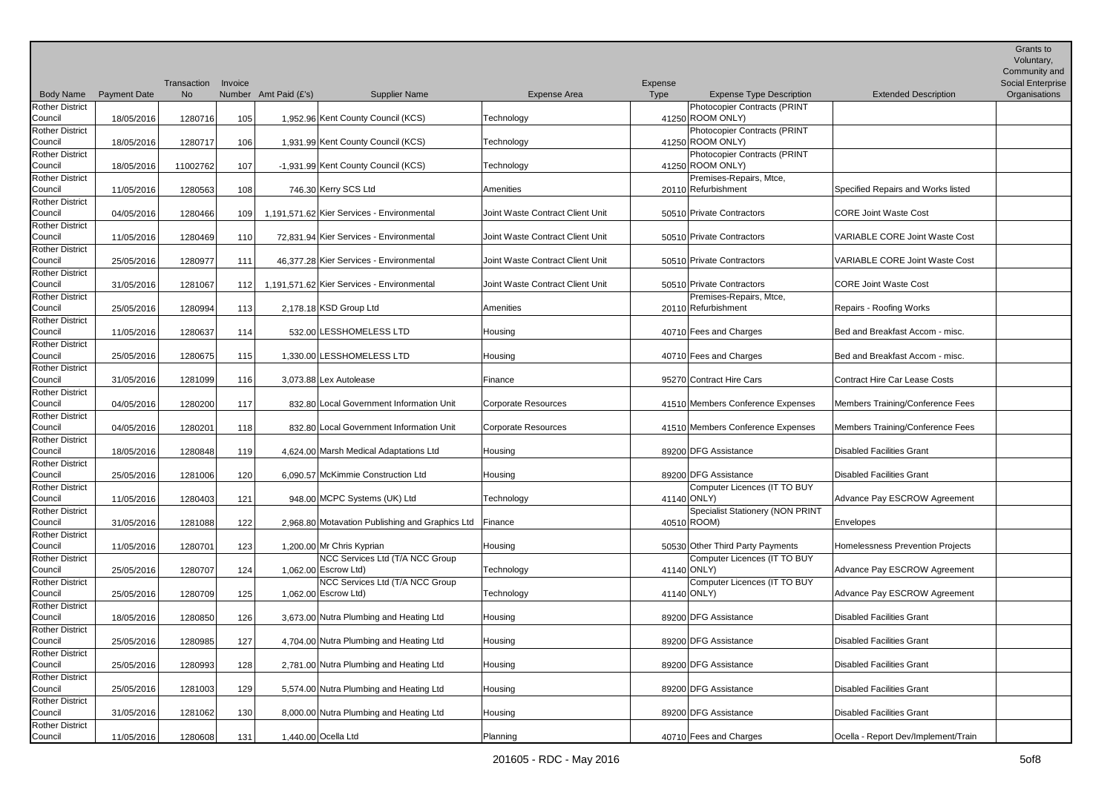|                                   |                     |                          |         |                       |                                                 |                                  |                 |                                                        |                                       | Grants to<br>Voluntary,<br>Community and |
|-----------------------------------|---------------------|--------------------------|---------|-----------------------|-------------------------------------------------|----------------------------------|-----------------|--------------------------------------------------------|---------------------------------------|------------------------------------------|
| <b>Body Name</b>                  | <b>Payment Date</b> | Transaction<br><b>No</b> | Invoice | Number Amt Paid (£'s) | <b>Supplier Name</b>                            | Expense Area                     | Expense<br>Type | <b>Expense Type Description</b>                        | <b>Extended Description</b>           | Social Enterprise<br>Organisations       |
| <b>Rother District</b>            |                     |                          |         |                       |                                                 |                                  |                 | Photocopier Contracts (PRINT                           |                                       |                                          |
| Council                           | 18/05/2016          | 1280716                  | 105     |                       | 1,952.96 Kent County Council (KCS)              | Technology                       |                 | 41250 ROOM ONLY)                                       |                                       |                                          |
| <b>Rother District</b>            |                     |                          |         |                       |                                                 |                                  |                 | Photocopier Contracts (PRINT                           |                                       |                                          |
| Council<br><b>Rother District</b> | 18/05/2016          | 1280717                  | 106     |                       | 1,931.99 Kent County Council (KCS)              | Technology                       |                 | 41250 ROOM ONLY)<br>Photocopier Contracts (PRINT       |                                       |                                          |
| Council                           | 18/05/2016          | 11002762                 | 107     |                       | -1,931.99 Kent County Council (KCS)             | Technology                       |                 | 41250 ROOM ONLY)                                       |                                       |                                          |
| <b>Rother District</b>            |                     |                          |         |                       |                                                 |                                  |                 | Premises-Repairs, Mtce,                                |                                       |                                          |
| Council                           | 11/05/2016          | 1280563                  | 108     |                       | 746.30 Kerry SCS Ltd                            | Amenities                        |                 | 20110 Refurbishment                                    | Specified Repairs and Works listed    |                                          |
| <b>Rother District</b>            |                     |                          |         |                       |                                                 |                                  |                 |                                                        |                                       |                                          |
| Council<br>Rother District        | 04/05/2016          | 1280466                  | 109     |                       | 1,191,571.62 Kier Services - Environmental      | Joint Waste Contract Client Unit |                 | 50510 Private Contractors                              | <b>CORE Joint Waste Cost</b>          |                                          |
| Council                           | 11/05/2016          | 1280469                  | 110     |                       | 72,831.94 Kier Services - Environmental         | Joint Waste Contract Client Unit |                 | 50510 Private Contractors                              | <b>VARIABLE CORE Joint Waste Cost</b> |                                          |
| <b>Rother District</b>            |                     |                          |         |                       |                                                 |                                  |                 |                                                        |                                       |                                          |
| Council                           | 25/05/2016          | 1280977                  | 111     |                       | 46,377.28 Kier Services - Environmental         | Joint Waste Contract Client Unit |                 | 50510 Private Contractors                              | <b>VARIABLE CORE Joint Waste Cost</b> |                                          |
| <b>Rother District</b>            |                     |                          |         |                       |                                                 |                                  |                 |                                                        |                                       |                                          |
| Council                           | 31/05/2016          | 1281067                  | 112     |                       | 1,191,571.62 Kier Services - Environmental      | Joint Waste Contract Client Unit |                 | 50510 Private Contractors                              | <b>CORE Joint Waste Cost</b>          |                                          |
| <b>Rother District</b><br>Council | 25/05/2016          | 1280994                  | 113     |                       | 2,178.18 KSD Group Ltd                          | Amenities                        |                 | Premises-Repairs, Mtce,<br>20110 Refurbishment         | Repairs - Roofing Works               |                                          |
| <b>Rother District</b>            |                     |                          |         |                       |                                                 |                                  |                 |                                                        |                                       |                                          |
| Council                           | 11/05/2016          | 1280637                  | 114     |                       | 532.00 LESSHOMELESS LTD                         | Housing                          |                 | 40710 Fees and Charges                                 | Bed and Breakfast Accom - misc.       |                                          |
| Rother District                   |                     |                          |         |                       |                                                 |                                  |                 |                                                        |                                       |                                          |
| Council                           | 25/05/2016          | 1280675                  | 115     |                       | 1,330.00 LESSHOMELESS LTD                       | Housing                          |                 | 40710 Fees and Charges                                 | Bed and Breakfast Accom - misc.       |                                          |
| <b>Rother District</b><br>Council | 31/05/2016          | 1281099                  | 116     |                       | 3,073.88 Lex Autolease                          | Finance                          |                 | 95270 Contract Hire Cars                               | <b>Contract Hire Car Lease Costs</b>  |                                          |
| <b>Rother District</b>            |                     |                          |         |                       |                                                 |                                  |                 |                                                        |                                       |                                          |
| Council                           | 04/05/2016          | 1280200                  | 117     |                       | 832.80 Local Government Information Unit        | <b>Corporate Resources</b>       |                 | 41510 Members Conference Expenses                      | Members Training/Conference Fees      |                                          |
| <b>Rother District</b>            |                     |                          |         |                       |                                                 |                                  |                 |                                                        |                                       |                                          |
| Council                           | 04/05/2016          | 1280201                  | 118     |                       | 832.80 Local Government Information Unit        | Corporate Resources              |                 | 41510 Members Conference Expenses                      | Members Training/Conference Fees      |                                          |
| <b>Rother District</b><br>Council | 18/05/2016          |                          |         |                       |                                                 | Housing                          |                 | 89200 DFG Assistance                                   | Disabled Facilities Grant             |                                          |
| <b>Rother District</b>            |                     | 1280848                  | 119     |                       | 4,624.00 Marsh Medical Adaptations Ltd          |                                  |                 |                                                        |                                       |                                          |
| Council                           | 25/05/2016          | 1281006                  | 120     |                       | 6,090.57 McKimmie Construction Ltd              | Housing                          |                 | 89200 DFG Assistance                                   | Disabled Facilities Grant             |                                          |
| <b>Rother District</b>            |                     |                          |         |                       |                                                 |                                  |                 | Computer Licences (IT TO BUY                           |                                       |                                          |
| Council                           | 11/05/2016          | 1280403                  | 121     |                       | 948.00 MCPC Systems (UK) Ltd                    | Technology                       |                 | 41140 ONLY)                                            | Advance Pay ESCROW Agreement          |                                          |
| <b>Rother District</b>            |                     |                          |         |                       | 2.968.80 Motavation Publishing and Graphics Ltd | Finance                          |                 | <b>Specialist Stationery (NON PRINT</b><br>40510 ROOM) |                                       |                                          |
| Council<br><b>Rother District</b> | 31/05/2016          | 1281088                  | 122     |                       |                                                 |                                  |                 |                                                        | Envelopes                             |                                          |
| Council                           | 11/05/2016          | 1280701                  | 123     |                       | 1,200.00 Mr Chris Kyprian                       | Housing                          |                 | 50530 Other Third Party Payments                       | Homelessness Prevention Projects      |                                          |
| <b>Rother District</b>            |                     |                          |         |                       | NCC Services Ltd (T/A NCC Group                 |                                  |                 | Computer Licences (IT TO BUY                           |                                       |                                          |
| Council                           | 25/05/2016          | 1280707                  | 124     |                       | $1,062.00$ Escrow Ltd)                          | Technology                       |                 | 41140 ONLY)                                            | Advance Pay ESCROW Agreement          |                                          |
| <b>Rother District</b>            |                     |                          |         |                       | NCC Services Ltd (T/A NCC Group                 |                                  |                 | Computer Licences (IT TO BUY                           |                                       |                                          |
| Council<br><b>Rother District</b> | 25/05/2016          | 1280709                  | 125     |                       | 1,062.00 Escrow Ltd)                            | Technology                       |                 | 41140 ONLY)                                            | Advance Pay ESCROW Agreement          |                                          |
| Council                           | 18/05/2016          | 1280850                  | 126     |                       | 3,673.00 Nutra Plumbing and Heating Ltd         | Housing                          |                 | 89200 DFG Assistance                                   | Disabled Facilities Grant             |                                          |
| <b>Rother District</b>            |                     |                          |         |                       |                                                 |                                  |                 |                                                        |                                       |                                          |
| Council                           | 25/05/2016          | 1280985                  | 127     |                       | 4,704.00 Nutra Plumbing and Heating Ltd         | Housing                          |                 | 89200 DFG Assistance                                   | Disabled Facilities Grant             |                                          |
| <b>Rother District</b>            |                     |                          |         |                       |                                                 |                                  |                 |                                                        |                                       |                                          |
| Council<br><b>Rother District</b> | 25/05/2016          | 1280993                  | 128     |                       | 2,781.00 Nutra Plumbing and Heating Ltd         | Housing                          |                 | 89200 DFG Assistance                                   | Disabled Facilities Grant             |                                          |
| Council                           | 25/05/2016          | 1281003                  | 129     |                       | 5,574.00 Nutra Plumbing and Heating Ltd         | Housing                          |                 | 89200 DFG Assistance                                   | Disabled Facilities Grant             |                                          |
| <b>Rother District</b>            |                     |                          |         |                       |                                                 |                                  |                 |                                                        |                                       |                                          |
| Council                           | 31/05/2016          | 1281062                  | 130     |                       | 8,000.00 Nutra Plumbing and Heating Ltd         | Housing                          |                 | 89200 DFG Assistance                                   | Disabled Facilities Grant             |                                          |
| <b>Rother District</b>            |                     |                          |         |                       |                                                 |                                  |                 |                                                        |                                       |                                          |
| Council                           | 11/05/2016          | 1280608                  | 131     |                       | 1,440.00 Ocella Ltd                             | Planning                         |                 | 40710 Fees and Charges                                 | Ocella - Report Dev/Implement/Train   |                                          |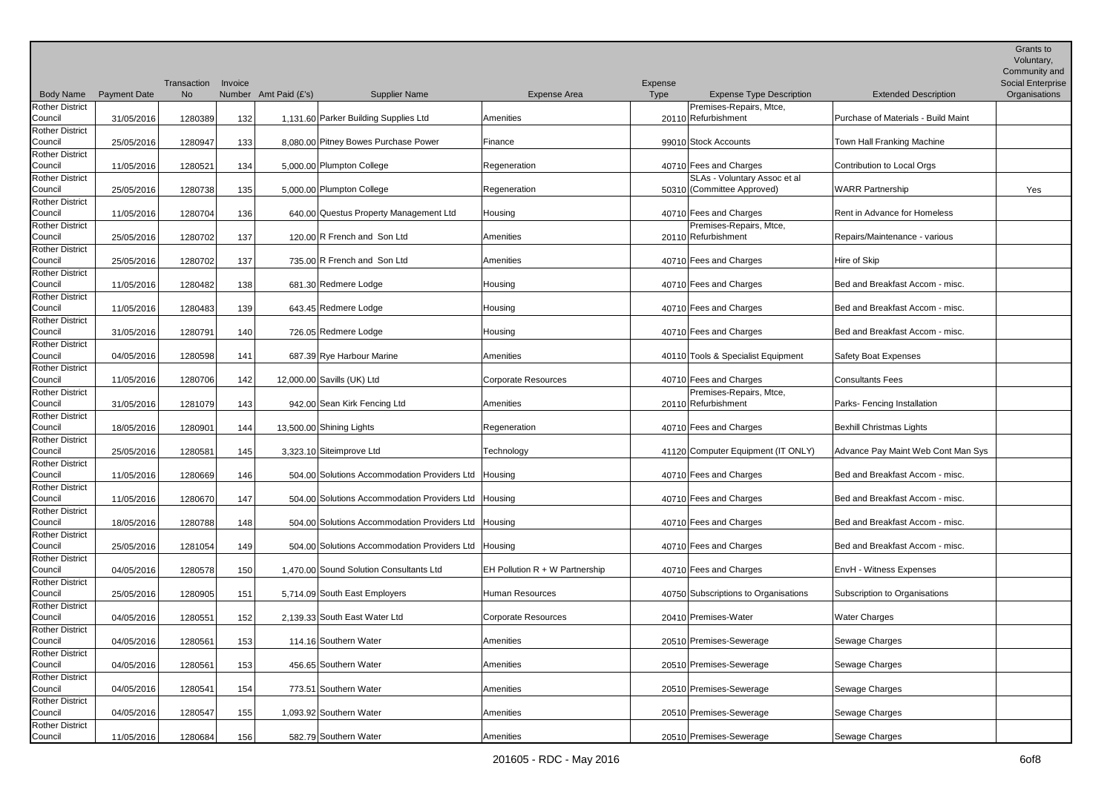|                                   |                     | Transaction | Invoice |                       |                                                      |                                  | Expense |                                                |                                     | Grants to<br>Voluntary,<br>Community and<br>Social Enterprise |
|-----------------------------------|---------------------|-------------|---------|-----------------------|------------------------------------------------------|----------------------------------|---------|------------------------------------------------|-------------------------------------|---------------------------------------------------------------|
| <b>Body Name</b>                  | <b>Payment Date</b> | No.         |         | Number Amt Paid (£'s) | <b>Supplier Name</b>                                 | <b>Expense Area</b>              | Type    | <b>Expense Type Description</b>                | <b>Extended Description</b>         | Organisations                                                 |
| <b>Rother District</b>            |                     |             |         |                       |                                                      |                                  |         | Premises-Repairs, Mtce,                        |                                     |                                                               |
| Council                           | 31/05/2016          | 1280389     | 132     |                       | 1,131.60 Parker Building Supplies Ltd                | Amenities                        |         | 20110 Refurbishment                            | Purchase of Materials - Build Maint |                                                               |
| <b>Rother District</b>            |                     |             |         |                       |                                                      |                                  |         |                                                |                                     |                                                               |
| Council                           | 25/05/2016          | 1280947     | 133     |                       | 8,080.00 Pitney Bowes Purchase Power                 | Finance                          |         | 99010 Stock Accounts                           | Town Hall Franking Machine          |                                                               |
| <b>Rother District</b><br>Council |                     |             |         |                       | 5,000.00 Plumpton College                            | Regeneration                     |         | 40710 Fees and Charges                         | Contribution to Local Orgs          |                                                               |
| Rother District                   | 11/05/2016          | 1280521     | 134     |                       |                                                      |                                  |         | SLAs - Voluntary Assoc et al                   |                                     |                                                               |
| Council                           | 25/05/2016          | 1280738     | 135     |                       | 5,000.00 Plumpton College                            | Regeneration                     |         | 50310 (Committee Approved)                     | <b>WARR Partnership</b>             | Yes                                                           |
| <b>Rother District</b>            |                     |             |         |                       |                                                      |                                  |         |                                                |                                     |                                                               |
| Council                           | 11/05/2016          | 1280704     | 136     |                       | 640.00 Questus Property Management Ltd               | Housing                          |         | 40710 Fees and Charges                         | Rent in Advance for Homeless        |                                                               |
| <b>Rother District</b>            |                     |             |         |                       |                                                      |                                  |         | Premises-Repairs, Mtce,                        |                                     |                                                               |
| Council                           | 25/05/2016          | 1280702     | 137     |                       | 120.00 R French and Son Ltd                          | Amenities                        |         | 20110 Refurbishment                            | Repairs/Maintenance - various       |                                                               |
| <b>Rother District</b>            |                     |             |         |                       |                                                      |                                  |         |                                                |                                     |                                                               |
| Council<br><b>Rother District</b> | 25/05/2016          | 1280702     | 137     |                       | 735.00 R French and Son Ltd                          | Amenities                        |         | 40710 Fees and Charges                         | Hire of Skip                        |                                                               |
| Council                           | 11/05/2016          | 1280482     | 138     |                       | 681.30 Redmere Lodge                                 | Housing                          |         | 40710 Fees and Charges                         | Bed and Breakfast Accom - misc.     |                                                               |
| <b>Rother District</b>            |                     |             |         |                       |                                                      |                                  |         |                                                |                                     |                                                               |
| Council                           | 11/05/2016          | 1280483     | 139     |                       | 643.45 Redmere Lodge                                 | Housing                          |         | 40710 Fees and Charges                         | Bed and Breakfast Accom - misc.     |                                                               |
| <b>Rother District</b>            |                     |             |         |                       |                                                      |                                  |         |                                                |                                     |                                                               |
| Council                           | 31/05/2016          | 1280791     | 140     |                       | 726.05 Redmere Lodge                                 | Housing                          |         | 40710 Fees and Charges                         | Bed and Breakfast Accom - misc.     |                                                               |
| <b>Rother District</b>            |                     |             |         |                       |                                                      |                                  |         |                                                |                                     |                                                               |
| Council                           | 04/05/2016          | 1280598     | 141     |                       | 687.39 Rye Harbour Marine                            | Amenities                        |         | 40110 Tools & Specialist Equipment             | Safety Boat Expenses                |                                                               |
| <b>Rother District</b>            |                     |             |         |                       |                                                      |                                  |         |                                                |                                     |                                                               |
| Council                           | 11/05/2016          | 1280706     | 142     |                       | 12,000.00 Savills (UK) Ltd                           | <b>Corporate Resources</b>       |         | 40710 Fees and Charges                         | Consultants Fees                    |                                                               |
| <b>Rother District</b><br>Council | 31/05/2016          | 1281079     | 143     |                       | 942.00 Sean Kirk Fencing Ltd                         | Amenities                        |         | Premises-Repairs, Mtce,<br>20110 Refurbishment | Parks-Fencing Installation          |                                                               |
| <b>Rother District</b>            |                     |             |         |                       |                                                      |                                  |         |                                                |                                     |                                                               |
| Council                           | 18/05/2016          | 1280901     | 144     |                       | 13,500.00 Shining Lights                             | Regeneration                     |         | 40710 Fees and Charges                         | <b>Bexhill Christmas Lights</b>     |                                                               |
| <b>Rother District</b>            |                     |             |         |                       |                                                      |                                  |         |                                                |                                     |                                                               |
| Council                           | 25/05/2016          | 1280581     | 145     |                       | 3,323.10 Siteimprove Ltd                             | Technology                       |         | 41120 Computer Equipment (IT ONLY)             | Advance Pay Maint Web Cont Man Sys  |                                                               |
| <b>Rother District</b>            |                     |             |         |                       |                                                      |                                  |         |                                                |                                     |                                                               |
| Council                           | 11/05/2016          | 1280669     | 146     |                       | 504.00 Solutions Accommodation Providers Ltd         | Housing                          |         | 40710 Fees and Charges                         | Bed and Breakfast Accom - misc.     |                                                               |
| <b>Rother District</b><br>Council | 11/05/2016          | 1280670     | 147     |                       | 504.00 Solutions Accommodation Providers Ltd         | <b>Housing</b>                   |         | 40710 Fees and Charges                         | Bed and Breakfast Accom - misc.     |                                                               |
| <b>Rother District</b>            |                     |             |         |                       |                                                      |                                  |         |                                                |                                     |                                                               |
| Council                           | 18/05/2016          | 1280788     | 148     |                       | 504.00 Solutions Accommodation Providers Ltd Housing |                                  |         | 40710 Fees and Charges                         | Bed and Breakfast Accom - misc.     |                                                               |
| <b>Rother District</b>            |                     |             |         |                       |                                                      |                                  |         |                                                |                                     |                                                               |
| Council                           | 25/05/2016          | 1281054     | 149     |                       | 504.00 Solutions Accommodation Providers Ltd Housing |                                  |         | 40710 Fees and Charges                         | Bed and Breakfast Accom - misc.     |                                                               |
| <b>Rother District</b>            |                     |             |         |                       |                                                      |                                  |         |                                                |                                     |                                                               |
| Council                           | 04/05/2016          | 1280578     | 150     |                       | 1,470.00 Sound Solution Consultants Ltd              | EH Pollution $R + W$ Partnership |         | 40710 Fees and Charges                         | <b>EnvH</b> - Witness Expenses      |                                                               |
| <b>Rother District</b><br>Council | 25/05/2016          | 1280905     | 151     |                       | 5,714.09 South East Employers                        | Human Resources                  |         | 40750 Subscriptions to Organisations           | Subscription to Organisations       |                                                               |
| <b>Rother District</b>            |                     |             |         |                       |                                                      |                                  |         |                                                |                                     |                                                               |
| Council                           | 04/05/2016          | 1280551     | 152     |                       | 2,139.33 South East Water Ltd                        | Corporate Resources              |         | 20410 Premises-Water                           | <b>Water Charges</b>                |                                                               |
| <b>Rother District</b>            |                     |             |         |                       |                                                      |                                  |         |                                                |                                     |                                                               |
| Council                           | 04/05/2016          | 1280561     | 153     |                       | 114.16 Southern Water                                | Amenities                        |         | 20510 Premises-Sewerage                        | Sewage Charges                      |                                                               |
| <b>Rother District</b>            |                     |             |         |                       |                                                      |                                  |         |                                                |                                     |                                                               |
| Council                           | 04/05/2016          | 1280561     | 153     |                       | 456.65 Southern Water                                | Amenities                        |         | 20510 Premises-Sewerage                        | Sewage Charges                      |                                                               |
| <b>Rother District</b>            |                     |             |         |                       |                                                      |                                  |         |                                                |                                     |                                                               |
| Council<br><b>Rother District</b> | 04/05/2016          | 1280541     | 154     |                       | 773.51 Southern Water                                | Amenities                        |         | 20510 Premises-Sewerage                        | Sewage Charges                      |                                                               |
| Council                           | 04/05/2016          | 1280547     | 155     |                       | 1,093.92 Southern Water                              | Amenities                        |         | 20510 Premises-Sewerage                        | Sewage Charges                      |                                                               |
| <b>Rother District</b>            |                     |             |         |                       |                                                      |                                  |         |                                                |                                     |                                                               |
| Council                           | 11/05/2016          | 1280684     | 156     |                       | 582.79 Southern Water                                | Amenities                        |         | 20510 Premises-Sewerage                        | Sewage Charges                      |                                                               |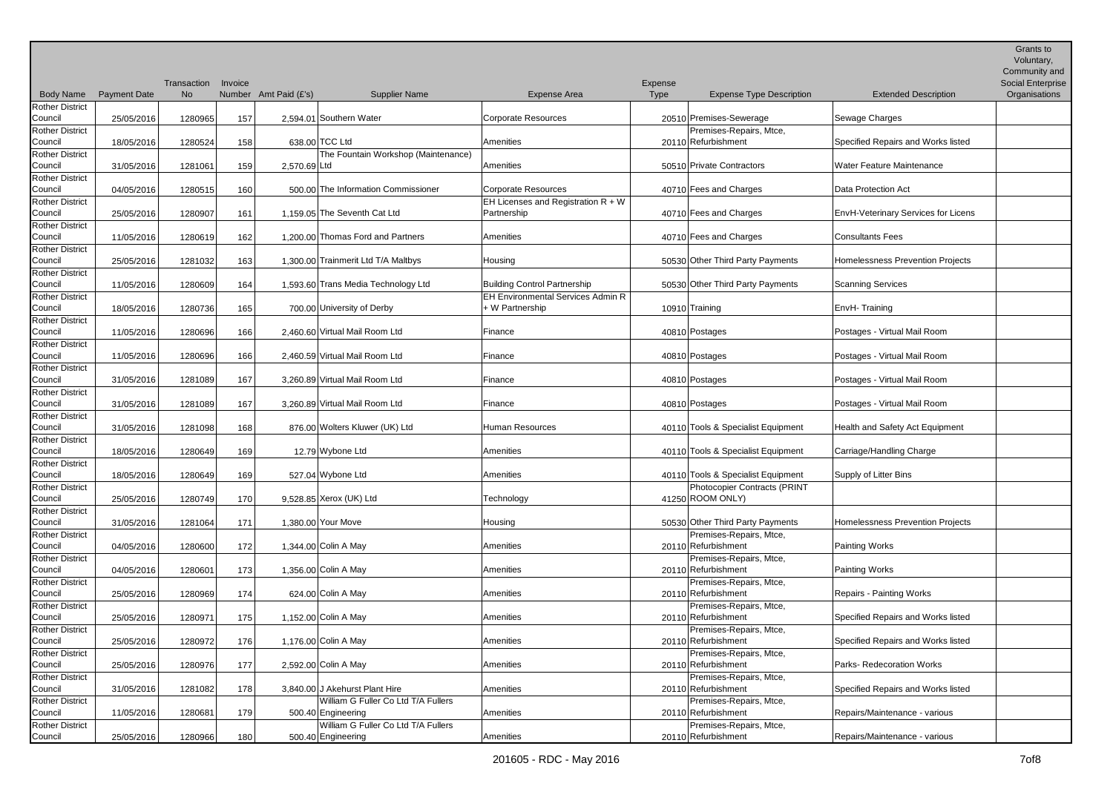|                                   |                     | Transaction | Invoice |                       |                                                           |                                          | Expense |                                                |                                     | Grants to<br>Voluntary,<br>Community and<br>Social Enterprise |
|-----------------------------------|---------------------|-------------|---------|-----------------------|-----------------------------------------------------------|------------------------------------------|---------|------------------------------------------------|-------------------------------------|---------------------------------------------------------------|
| <b>Body Name</b>                  | <b>Payment Date</b> | No.         |         | Number Amt Paid (£'s) | <b>Supplier Name</b>                                      | <b>Expense Area</b>                      | Type    | <b>Expense Type Description</b>                | <b>Extended Description</b>         | Organisations                                                 |
| <b>Rother District</b><br>Council | 25/05/2016          | 1280965     | 157     |                       | 2,594.01 Southern Water                                   | Corporate Resources                      |         | 20510 Premises-Sewerage                        | Sewage Charges                      |                                                               |
| <b>Rother District</b>            |                     |             |         |                       |                                                           |                                          |         | Premises-Repairs, Mtce,                        |                                     |                                                               |
| Council                           | 18/05/2016          | 1280524     | 158     |                       | 638.00 TCC Ltd                                            | Amenities                                |         | 20110 Refurbishment                            | Specified Repairs and Works listed  |                                                               |
| <b>Rother District</b>            |                     |             |         |                       | The Fountain Workshop (Maintenance)                       |                                          |         |                                                |                                     |                                                               |
| Council                           | 31/05/2016          | 1281061     | 159     | 2,570.69 Ltd          |                                                           | Amenities                                |         | 50510 Private Contractors                      | <b>Water Feature Maintenance</b>    |                                                               |
| <b>Rother District</b>            |                     |             |         |                       |                                                           |                                          |         |                                                |                                     |                                                               |
| Council                           | 04/05/2016          | 1280515     | 160     |                       | 500.00 The Information Commissioner                       | Corporate Resources                      |         | 40710 Fees and Charges                         | <b>Data Protection Act</b>          |                                                               |
| <b>Rother District</b>            |                     |             |         |                       |                                                           | EH Licenses and Registration $R + W$     |         |                                                |                                     |                                                               |
| Council                           | 25/05/2016          | 1280907     | 161     |                       | 1.159.05 The Seventh Cat Ltd                              | Partnership                              |         | 40710 Fees and Charges                         | EnvH-Veterinary Services for Licens |                                                               |
| <b>Rother District</b>            |                     |             |         |                       |                                                           |                                          |         |                                                |                                     |                                                               |
| Council                           | 11/05/2016          | 1280619     | 162     |                       | 1,200.00 Thomas Ford and Partners                         | Amenities                                |         | 40710 Fees and Charges                         | <b>Consultants Fees</b>             |                                                               |
| <b>Rother District</b>            |                     |             |         |                       |                                                           |                                          |         |                                                |                                     |                                                               |
| Council                           | 25/05/2016          | 1281032     | 163     |                       | 1,300.00 Trainmerit Ltd T/A Maltbys                       | Housing                                  |         | 50530 Other Third Party Payments               | Homelessness Prevention Projects    |                                                               |
| <b>Rother District</b>            |                     |             |         |                       |                                                           |                                          |         |                                                |                                     |                                                               |
| Council                           | 11/05/2016          | 1280609     | 164     |                       | 1,593.60 Trans Media Technology Ltd                       | <b>Building Control Partnership</b>      |         | 50530 Other Third Party Payments               | Scanning Services                   |                                                               |
| <b>Rother District</b>            |                     |             |         |                       |                                                           | <b>EH Environmental Services Admin R</b> |         |                                                |                                     |                                                               |
| Council                           | 18/05/2016          | 1280736     | 165     |                       | 700.00 University of Derby                                | + W Partnership                          |         | 10910 Training                                 | EnvH-Training                       |                                                               |
| <b>Rother District</b>            |                     |             |         |                       |                                                           |                                          |         |                                                |                                     |                                                               |
| Council                           | 11/05/2016          | 1280696     | 166     |                       | 2.460.60 Virtual Mail Room Ltd                            | Finance                                  |         | 40810 Postages                                 | Postages - Virtual Mail Room        |                                                               |
| <b>Rother District</b>            |                     |             |         |                       |                                                           |                                          |         |                                                |                                     |                                                               |
| Council                           | 11/05/2016          | 1280696     | 166     |                       | 2,460.59 Virtual Mail Room Ltd                            | Finance                                  |         | 40810 Postages                                 | Postages - Virtual Mail Room        |                                                               |
| <b>Rother District</b><br>Council |                     |             |         |                       | 3,260.89 Virtual Mail Room Ltd                            | Finance                                  |         |                                                | Postages - Virtual Mail Room        |                                                               |
| <b>Rother District</b>            | 31/05/2016          | 1281089     | 167     |                       |                                                           |                                          |         | 40810 Postages                                 |                                     |                                                               |
| Council                           | 31/05/2016          | 1281089     | 167     |                       | 3.260.89 Virtual Mail Room Ltd                            | Finance                                  |         | 40810 Postages                                 | Postages - Virtual Mail Room        |                                                               |
| <b>Rother District</b>            |                     |             |         |                       |                                                           |                                          |         |                                                |                                     |                                                               |
| Council                           | 31/05/2016          | 1281098     | 168     |                       | 876.00 Wolters Kluwer (UK) Ltd                            | <b>Human Resources</b>                   |         | 40110 Tools & Specialist Equipment             | Health and Safety Act Equipment     |                                                               |
| <b>Rother District</b>            |                     |             |         |                       |                                                           |                                          |         |                                                |                                     |                                                               |
| Council                           | 18/05/2016          | 1280649     | 169     |                       | 12.79 Wybone Ltd                                          | Amenities                                |         | 40110 Tools & Specialist Equipment             | Carriage/Handling Charge            |                                                               |
| <b>Rother District</b>            |                     |             |         |                       |                                                           |                                          |         |                                                |                                     |                                                               |
| Council                           | 18/05/2016          | 1280649     | 169     |                       | 527.04 Wybone Ltd                                         | Amenities                                |         | 40110 Tools & Specialist Equipment             | Supply of Litter Bins               |                                                               |
| <b>Rother District</b>            |                     |             |         |                       |                                                           |                                          |         | Photocopier Contracts (PRINT                   |                                     |                                                               |
| Council                           | 25/05/2016          | 1280749     | 170     |                       | 9,528.85 Xerox (UK) Ltd                                   | Technology                               |         | 41250 ROOM ONLY)                               |                                     |                                                               |
| <b>Rother District</b>            |                     |             |         |                       |                                                           |                                          |         |                                                |                                     |                                                               |
| Council                           | 31/05/2016          | 1281064     | 171     |                       | 1,380.00 Your Move                                        | Housing                                  |         | 50530 Other Third Party Payments               | Homelessness Prevention Projects    |                                                               |
| <b>Rother District</b>            |                     |             |         |                       |                                                           |                                          |         | Premises-Repairs, Mtce,                        |                                     |                                                               |
| Council                           | 04/05/2016          | 1280600     | 172     |                       | 1,344.00 Colin A May                                      | Amenities                                |         | 20110 Refurbishment                            | Painting Works                      |                                                               |
| <b>Rother District</b>            |                     |             |         |                       |                                                           |                                          |         | Premises-Repairs, Mtce,                        |                                     |                                                               |
| Council                           | 04/05/2016          | 1280601     | 173     |                       | 1,356.00 Colin A May                                      | Amenities                                |         | 20110 Refurbishment                            | Painting Works                      |                                                               |
| <b>Rother District</b>            |                     |             |         |                       |                                                           |                                          |         | Premises-Repairs, Mtce,                        |                                     |                                                               |
| Council                           | 25/05/2016          | 1280969     | 174     |                       | $624.00$ Colin A May                                      | Amenities                                |         | 20110 Refurbishment                            | <b>Repairs - Painting Works</b>     |                                                               |
| <b>Rother District</b>            |                     |             |         |                       |                                                           |                                          |         | Premises-Repairs, Mtce,                        |                                     |                                                               |
| Council                           | 25/05/2016          | 1280971     | 175     |                       | 1,152.00 Colin A May                                      | Amenities                                |         | 20110 Refurbishment                            | Specified Repairs and Works listed  |                                                               |
| <b>Rother District</b>            |                     |             |         |                       |                                                           |                                          |         | Premises-Repairs, Mtce,                        |                                     |                                                               |
| Council                           | 25/05/2016          | 1280972     | 176     |                       | 1,176.00 Colin A May                                      | Amenities                                |         | 20110 Refurbishment                            | Specified Repairs and Works listed  |                                                               |
| <b>Rother District</b>            |                     |             |         |                       |                                                           |                                          |         | Premises-Repairs, Mtce,                        |                                     |                                                               |
| Council                           | 25/05/2016          | 1280976     | 177     |                       | 2,592.00 Colin A May                                      | Amenities                                |         | 20110 Refurbishment                            | Parks-Redecoration Works            |                                                               |
| <b>Rother District</b>            |                     |             |         |                       |                                                           |                                          |         | Premises-Repairs, Mtce,                        |                                     |                                                               |
| Council                           | 31/05/2016          | 1281082     | 178     |                       | 3,840.00 J Akehurst Plant Hire                            | Amenities                                |         | 20110 Refurbishment                            | Specified Repairs and Works listed  |                                                               |
| <b>Rother District</b>            |                     |             |         |                       | William G Fuller Co Ltd T/A Fullers                       |                                          |         | Premises-Repairs, Mtce,                        |                                     |                                                               |
| Council                           | 11/05/2016          | 1280681     | 179     |                       | 500.40 Engineering                                        | Amenities                                |         | 20110 Refurbishment                            | Repairs/Maintenance - various       |                                                               |
| <b>Rother District</b><br>Council | 25/05/2016          | 1280966     | 180     |                       | William G Fuller Co Ltd T/A Fullers<br>500.40 Engineering | Amenities                                |         | Premises-Repairs, Mtce,<br>20110 Refurbishment | Repairs/Maintenance - various       |                                                               |